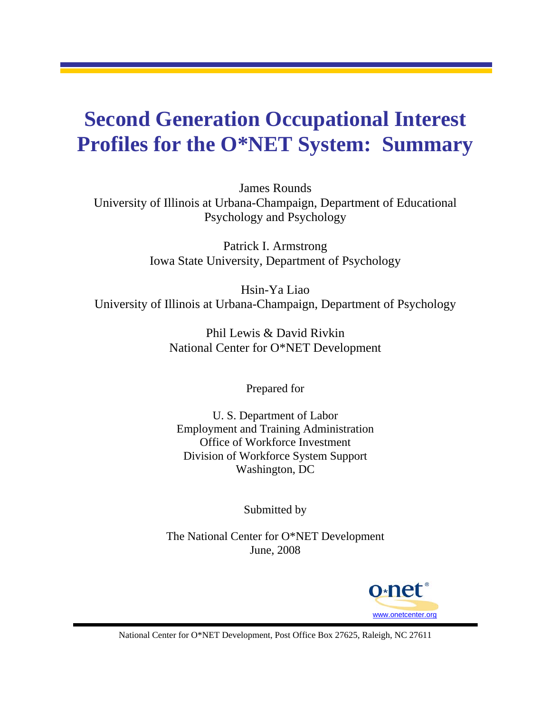## **Second Generation Occupational Interest Profiles for the O\*NET System: Summary**

James Rounds University of Illinois at Urbana-Champaign, Department of Educational Psychology and Psychology

> Patrick I. Armstrong Iowa State University, Department of Psychology

Hsin-Ya Liao University of Illinois at Urbana-Champaign, Department of Psychology

> Phil Lewis & David Rivkin National Center for O\*NET Development

> > Prepared for

U. S. Department of Labor Employment and Training Administration Office of Workforce Investment Division of Workforce System Support Washington, DC

Submitted by

The National Center for O\*NET Development June, 2008



National Center for O\*NET Development, Post Office Box 27625, Raleigh, NC 27611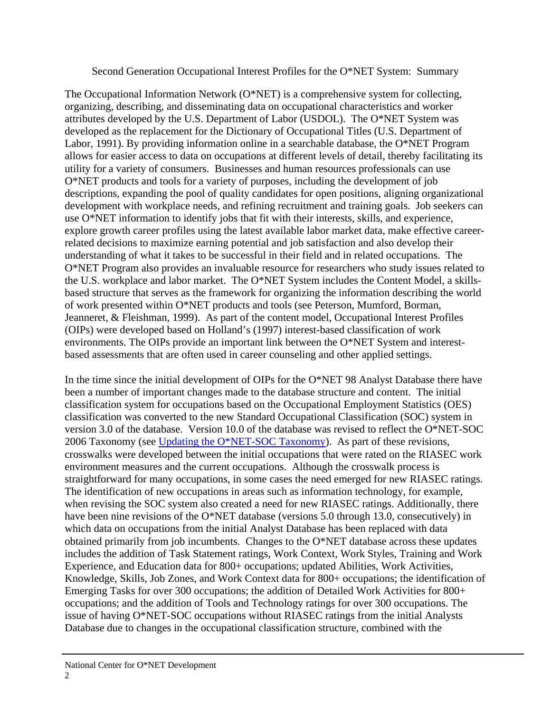## Second Generation Occupational Interest Profiles for the O\*NET System: Summary

The Occupational Information Network (O\*NET) is a comprehensive system for collecting, organizing, describing, and disseminating data on occupational characteristics and worker attributes developed by the U.S. Department of Labor (USDOL). The O\*NET System was developed as the replacement for the Dictionary of Occupational Titles (U.S. Department of Labor, 1991). By providing information online in a searchable database, the O\*NET Program allows for easier access to data on occupations at different levels of detail, thereby facilitating its utility for a variety of consumers. Businesses and human resources professionals can use O\*NET products and tools for a variety of purposes, including the development of job descriptions, expanding the pool of quality candidates for open positions, aligning organizational development with workplace needs, and refining recruitment and training goals. Job seekers can use O\*NET information to identify jobs that fit with their interests, skills, and experience, explore growth career profiles using the latest available labor market data, make effective careerrelated decisions to maximize earning potential and job satisfaction and also develop their understanding of what it takes to be successful in their field and in related occupations. The O\*NET Program also provides an invaluable resource for researchers who study issues related to the U.S. workplace and labor market. The O\*NET System includes the Content Model, a skillsbased structure that serves as the framework for organizing the information describing the world of work presented within O\*NET products and tools (see Peterson, Mumford, Borman, Jeanneret, & Fleishman, 1999). As part of the content model, Occupational Interest Profiles (OIPs) were developed based on Holland's (1997) interest-based classification of work environments. The OIPs provide an important link between the O\*NET System and interestbased assessments that are often used in career counseling and other applied settings.

In the time since the initial development of OIPs for the O\*NET 98 Analyst Database there have been a number of important changes made to the database structure and content. The initial classification system for occupations based on the Occupational Employment Statistics (OES) classification was converted to the new Standard Occupational Classification (SOC) system in version 3.0 of the database. Version 10.0 of the database was revised to reflect the O\*NET-SOC 2006 Taxonomy (see Updating the O\*NET-SOC Taxonomy). As part of these revisions, crosswalks were developed between the initial occupations that were rated on the RIASEC work environment measures and the current occupations. Although the crosswalk process is straightforward for many occupations, in some cases the need emerged for new RIASEC ratings. The identification of new occupations in areas such as information technology, for example, when revising the SOC system also created a need for new RIASEC ratings. Additionally, there have been nine revisions of the O\*NET database (versions 5.0 through 13.0, consecutively) in which data on occupations from the initial Analyst Database has been replaced with data obtained primarily from job incumbents. Changes to the O\*NET database across these updates includes the addition of Task Statement ratings, Work Context, Work Styles, Training and Work Experience, and Education data for 800+ occupations; updated Abilities, Work Activities, Knowledge, Skills, Job Zones, and Work Context data for 800+ occupations; the identification of Emerging Tasks for over 300 occupations; the addition of Detailed Work Activities for 800+ occupations; and the addition of Tools and Technology ratings for over 300 occupations. The issue of having O\*NET-SOC occupations without RIASEC ratings from the initial Analysts Database due to changes in the occupational classification structure, combined with the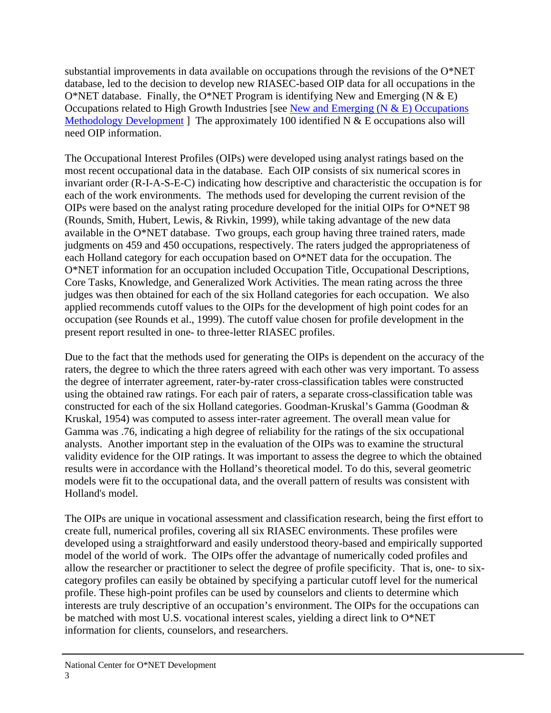substantial improvements in data available on occupations through the revisions of the O\*NET database, led to the decision to develop new RIASEC-based OIP data for all occupations in the O\*NET database. Finally, the O\*NET Program is identifying New and Emerging (N  $\&$  E) Occupations related to High Growth Industries [see New and Emerging  $(N & E)$  Occupations Methodology Development ] The approximately 100 identified N  $&$  E occupations also will need OIP information.

The Occupational Interest Profiles (OIPs) were developed using analyst ratings based on the most recent occupational data in the database. Each OIP consists of six numerical scores in invariant order (R-I-A-S-E-C) indicating how descriptive and characteristic the occupation is for each of the work environments. The methods used for developing the current revision of the OIPs were based on the analyst rating procedure developed for the initial OIPs for O\*NET 98 (Rounds, Smith, Hubert, Lewis, & Rivkin, 1999), while taking advantage of the new data available in the O\*NET database. Two groups, each group having three trained raters, made judgments on 459 and 450 occupations, respectively. The raters judged the appropriateness of each Holland category for each occupation based on O\*NET data for the occupation. The O\*NET information for an occupation included Occupation Title, Occupational Descriptions, Core Tasks, Knowledge, and Generalized Work Activities. The mean rating across the three judges was then obtained for each of the six Holland categories for each occupation. We also applied recommends cutoff values to the OIPs for the development of high point codes for an occupation (see Rounds et al., 1999). The cutoff value chosen for profile development in the present report resulted in one- to three-letter RIASEC profiles.

Due to the fact that the methods used for generating the OIPs is dependent on the accuracy of the raters, the degree to which the three raters agreed with each other was very important. To assess the degree of interrater agreement, rater-by-rater cross-classification tables were constructed using the obtained raw ratings. For each pair of raters, a separate cross-classification table was constructed for each of the six Holland categories. Goodman-Kruskal's Gamma (Goodman & Kruskal, 1954) was computed to assess inter-rater agreement. The overall mean value for Gamma was .76, indicating a high degree of reliability for the ratings of the six occupational analysts. Another important step in the evaluation of the OIPs was to examine the structural validity evidence for the OIP ratings. It was important to assess the degree to which the obtained results were in accordance with the Holland's theoretical model. To do this, several geometric models were fit to the occupational data, and the overall pattern of results was consistent with Holland's model.

The OIPs are unique in vocational assessment and classification research, being the first effort to create full, numerical profiles, covering all six RIASEC environments. These profiles were developed using a straightforward and easily understood theory-based and empirically supported model of the world of work. The OIPs offer the advantage of numerically coded profiles and allow the researcher or practitioner to select the degree of profile specificity. That is, one- to sixcategory profiles can easily be obtained by specifying a particular cutoff level for the numerical profile. These high-point profiles can be used by counselors and clients to determine which interests are truly descriptive of an occupation's environment. The OIPs for the occupations can be matched with most U.S. vocational interest scales, yielding a direct link to O\*NET information for clients, counselors, and researchers.